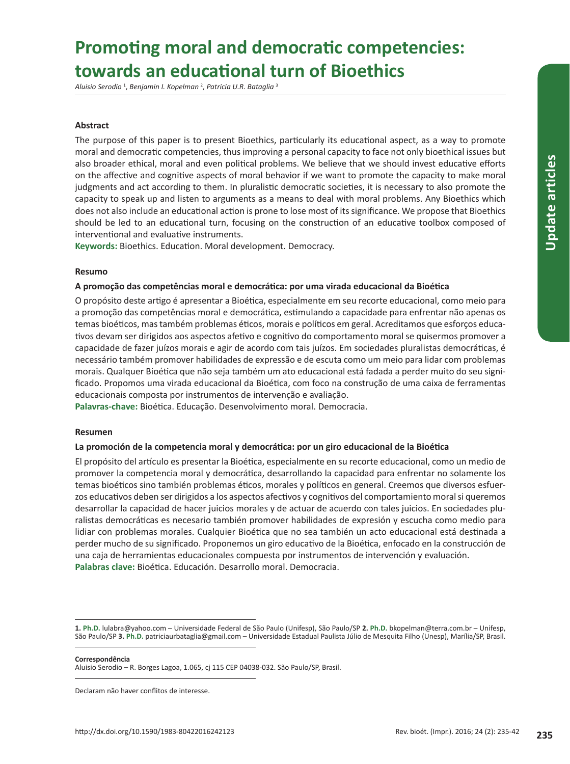# **Promoting moral and democratic competencies: towards an educational turn of Bioethics**

*Aluisio Serodio* <sup>1</sup> , *Benjamin I. Kopelman* <sup>2</sup> , *Patricia U.R. Bataglia* <sup>3</sup>

### **Abstract**

The purpose of this paper is to present Bioethics, particularly its educational aspect, as a way to promote moral and democratic competencies, thus improving a personal capacity to face not only bioethical issues but also broader ethical, moral and even political problems. We believe that we should invest educative efforts on the affective and cognitive aspects of moral behavior if we want to promote the capacity to make moral judgments and act according to them. In pluralistic democratic societies, it is necessary to also promote the capacity to speak up and listen to arguments as a means to deal with moral problems. Any Bioethics which does not also include an educational action is prone to lose most of its significance. We propose that Bioethics should be led to an educational turn, focusing on the construction of an educative toolbox composed of interventional and evaluative instruments.

**Keywords:** Bioethics. Education. Moral development. Democracy.

### **Resumo**

### **A promoção das competências moral e democrática: por uma virada educacional da Bioética**

O propósito deste artigo é apresentar a Bioética, especialmente em seu recorte educacional, como meio para a promoção das competências moral e democrática, estimulando a capacidade para enfrentar não apenas os temas bioéticos, mas também problemas éticos, morais e políticos em geral. Acreditamos que esforços educativos devam ser dirigidos aos aspectos afetivo e cognitivo do comportamento moral se quisermos promover a capacidade de fazer juízos morais e agir de acordo com tais juízos. Em sociedades pluralistas democráticas, é necessário também promover habilidades de expressão e de escuta como um meio para lidar com problemas morais. Qualquer Bioética que não seja também um ato educacional está fadada a perder muito do seu significado. Propomos uma virada educacional da Bioética, com foco na construção de uma caixa de ferramentas educacionais composta por instrumentos de intervenção e avaliação.

**Palavras-chave:** Bioética. Educação. Desenvolvimento moral. Democracia.

#### **Resumen**

#### **La promoción de la competencia moral y democrática: por un giro educacional de la Bioética**

El propósito del artículo es presentar la Bioética, especialmente en su recorte educacional, como un medio de promover la competencia moral y democrática, desarrollando la capacidad para enfrentar no solamente los temas bioéticos sino también problemas éticos, morales y políticos en general. Creemos que diversos esfuerzos educativos deben ser dirigidos a los aspectos afectivos y cognitivos del comportamiento moral si queremos desarrollar la capacidad de hacer juicios morales y de actuar de acuerdo con tales juicios. En sociedades pluralistas democráticas es necesario también promover habilidades de expresión y escucha como medio para lidiar con problemas morales. Cualquier Bioética que no sea también un acto educacional está destinada a perder mucho de su significado. Proponemos un giro educativo de la Bioética, enfocado en la construcción de una caja de herramientas educacionales compuesta por instrumentos de intervención y evaluación. **Palabras clave:** Bioética. Educación. Desarrollo moral. Democracia.

**Correspondência**

Aluisio Serodio – R. Borges Lagoa, 1.065, cj 115 CEP 04038-032. São Paulo/SP, Brasil.

Declaram não haver conflitos de interesse.

**<sup>1.</sup> Ph.D.** lulabra@yahoo.com – Universidade Federal de São Paulo (Unifesp), São Paulo/SP **2. Ph.D.** bkopelman@terra.com.br – Unifesp, São Paulo/SP **3. Ph.D.** patriciaurbataglia@gmail.com – Universidade Estadual Paulista Júlio de Mesquita Filho (Unesp), Marília/SP, Brasil.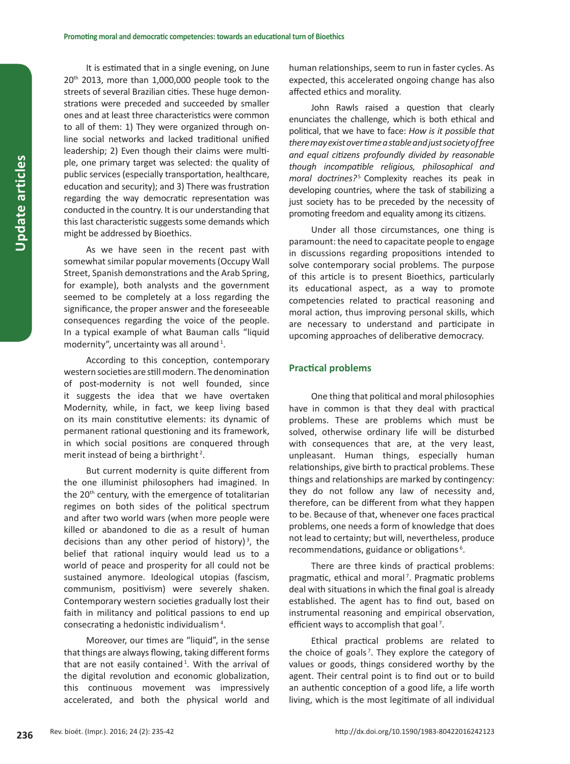It is estimated that in a single evening, on June 20<sup>th</sup> 2013, more than 1,000,000 people took to the streets of several Brazilian cities. These huge demonstrations were preceded and succeeded by smaller ones and at least three characteristics were common to all of them: 1) They were organized through online social networks and lacked traditional unified leadership; 2) Even though their claims were multiple, one primary target was selected: the quality of public services (especially transportation, healthcare, education and security); and 3) There was frustration regarding the way democratic representation was conducted in the country. It is our understanding that this last characteristic suggests some demands which might be addressed by Bioethics.

As we have seen in the recent past with somewhat similar popular movements (Occupy Wall Street, Spanish demonstrations and the Arab Spring, for example), both analysts and the government seemed to be completely at a loss regarding the significance, the proper answer and the foreseeable consequences regarding the voice of the people. In a typical example of what Bauman calls "liquid modernity", uncertainty was all around<sup>1</sup>.

According to this conception, contemporary western societies are still modern. The denomination of post-modernity is not well founded, since it suggests the idea that we have overtaken Modernity, while, in fact, we keep living based on its main constitutive elements: its dynamic of permanent rational questioning and its framework, in which social positions are conquered through merit instead of being a birthright<sup>2</sup>.

But current modernity is quite different from the one illuminist philosophers had imagined. In the 20<sup>th</sup> century, with the emergence of totalitarian regimes on both sides of the political spectrum and after two world wars (when more people were killed or abandoned to die as a result of human decisions than any other period of history)<sup>3</sup>, the belief that rational inquiry would lead us to a world of peace and prosperity for all could not be sustained anymore. Ideological utopias (fascism, communism, positivism) were severely shaken. Contemporary western societies gradually lost their faith in militancy and political passions to end up consecrating a hedonistic individualism<sup>4</sup>.

Moreover, our times are "liquid", in the sense that things are always flowing, taking different forms that are not easily contained<sup>1</sup>. With the arrival of the digital revolution and economic globalization, this continuous movement was impressively accelerated, and both the physical world and

human relationships, seem to run in faster cycles. As expected, this accelerated ongoing change has also affected ethics and morality.

John Rawls raised a question that clearly enunciates the challenge, which is both ethical and political, that we have to face: *How is it possible that there may exist over time a stable and just society of free and equal citizens profoundly divided by reasonable though incompatible religious, philosophical and moral doctrines*?<sup>5</sup> Complexity reaches its peak in developing countries, where the task of stabilizing a just society has to be preceded by the necessity of promoting freedom and equality among its citizens.

Under all those circumstances, one thing is paramount: the need to capacitate people to engage in discussions regarding propositions intended to solve contemporary social problems. The purpose of this article is to present Bioethics, particularly its educational aspect, as a way to promote competencies related to practical reasoning and moral action, thus improving personal skills, which are necessary to understand and participate in upcoming approaches of deliberative democracy.

#### **Practical problems**

One thing that political and moral philosophies have in common is that they deal with practical problems. These are problems which must be solved, otherwise ordinary life will be disturbed with consequences that are, at the very least, unpleasant. Human things, especially human relationships, give birth to practical problems. These things and relationships are marked by contingency: they do not follow any law of necessity and, therefore, can be different from what they happen to be. Because of that, whenever one faces practical problems, one needs a form of knowledge that does not lead to certainty; but will, nevertheless, produce recommendations, guidance or obligations<sup>6</sup>.

There are three kinds of practical problems: pragmatic, ethical and moral<sup>7</sup>. Pragmatic problems deal with situations in which the final goal is already established. The agent has to find out, based on instrumental reasoning and empirical observation, efficient ways to accomplish that goal<sup>7</sup>.

Ethical practical problems are related to the choice of goals<sup>7</sup>. They explore the category of values or goods, things considered worthy by the agent. Their central point is to find out or to build an authentic conception of a good life, a life worth living, which is the most legitimate of all individual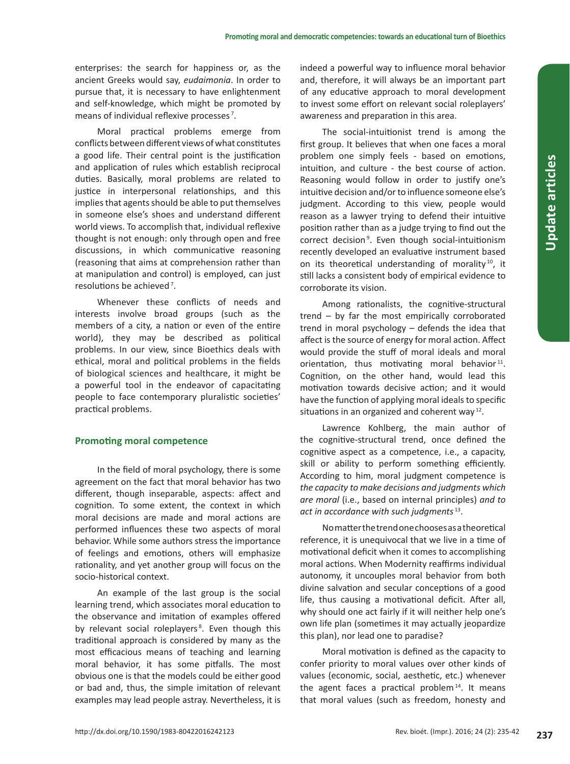enterprises: the search for happiness or, as the ancient Greeks would say, *eudaimonia*. In order to pursue that, it is necessary to have enlightenment and self-knowledge, which might be promoted by means of individual reflexive processes<sup>7</sup>.

Moral practical problems emerge from conflicts between different views of what constitutes a good life. Their central point is the justification and application of rules which establish reciprocal duties. Basically, moral problems are related to justice in interpersonal relationships, and this implies that agents should be able to put themselves in someone else's shoes and understand different world views. To accomplish that, individual reflexive thought is not enough: only through open and free discussions, in which communicative reasoning (reasoning that aims at comprehension rather than at manipulation and control) is employed, can just resolutions be achieved<sup>7</sup>.

Whenever these conflicts of needs and interests involve broad groups (such as the members of a city, a nation or even of the entire world), they may be described as political problems. In our view, since Bioethics deals with ethical, moral and political problems in the fields of biological sciences and healthcare, it might be a powerful tool in the endeavor of capacitating people to face contemporary pluralistic societies' practical problems.

#### **Promoting moral competence**

In the field of moral psychology, there is some agreement on the fact that moral behavior has two different, though inseparable, aspects: affect and cognition. To some extent, the context in which moral decisions are made and moral actions are performed influences these two aspects of moral behavior. While some authors stress the importance of feelings and emotions, others will emphasize rationality, and yet another group will focus on the socio-historical context.

An example of the last group is the social learning trend, which associates moral education to the observance and imitation of examples offered by relevant social roleplayers<sup>8</sup>. Even though this traditional approach is considered by many as the most efficacious means of teaching and learning moral behavior, it has some pitfalls. The most obvious one is that the models could be either good or bad and, thus, the simple imitation of relevant examples may lead people astray. Nevertheless, it is indeed a powerful way to influence moral behavior and, therefore, it will always be an important part of any educative approach to moral development to invest some effort on relevant social roleplayers' awareness and preparation in this area.

The social-intuitionist trend is among the first group. It believes that when one faces a moral problem one simply feels - based on emotions, intuition, and culture - the best course of action. Reasoning would follow in order to justify one's intuitive decision and/or to influence someone else's judgment. According to this view, people would reason as a lawyer trying to defend their intuitive position rather than as a judge trying to find out the correct decision<sup>9</sup>. Even though social-intuitionism recently developed an evaluative instrument based on its theoretical understanding of morality<sup>10</sup>, it still lacks a consistent body of empirical evidence to corroborate its vision.

Among rationalists, the cognitive-structural trend – by far the most empirically corroborated trend in moral psychology – defends the idea that affect is the source of energy for moral action. Affect would provide the stuff of moral ideals and moral orientation, thus motivating moral behavior<sup>11</sup>. Cognition, on the other hand, would lead this motivation towards decisive action; and it would have the function of applying moral ideals to specific situations in an organized and coherent way<sup>12</sup>.

Lawrence Kohlberg, the main author of the cognitive-structural trend, once defined the cognitive aspect as a competence, i.e., a capacity, skill or ability to perform something efficiently. According to him, moral judgment competence is *the capacity to make decisions and judgments which are moral* (i.e., based on internal principles) *and to act in accordance with such judgments* 13.

No matter the trend one chooses as a theoretical reference, it is unequivocal that we live in a time of motivational deficit when it comes to accomplishing moral actions. When Modernity reaffirms individual autonomy, it uncouples moral behavior from both divine salvation and secular conceptions of a good life, thus causing a motivational deficit. After all, why should one act fairly if it will neither help one's own life plan (sometimes it may actually jeopardize this plan), nor lead one to paradise?

Moral motivation is defined as the capacity to confer priority to moral values over other kinds of values (economic, social, aesthetic, etc.) whenever the agent faces a practical problem<sup>14</sup>. It means that moral values (such as freedom, honesty and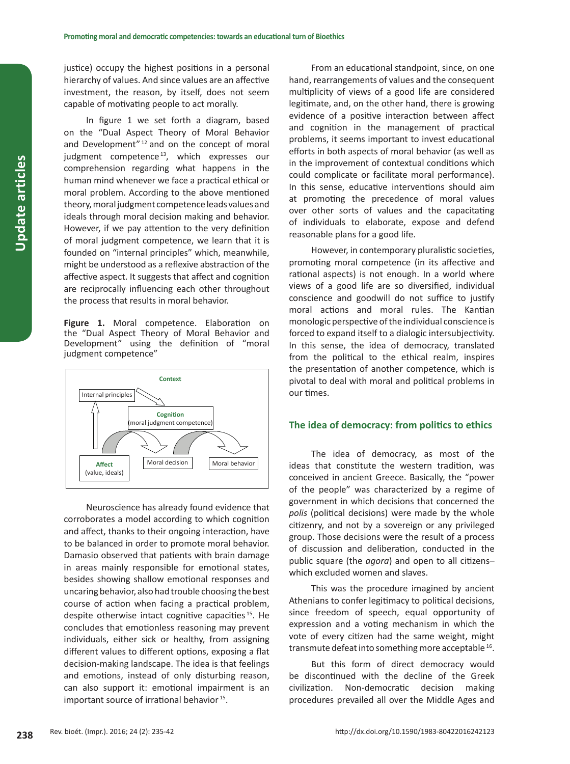justice) occupy the highest positions in a personal hierarchy of values. And since values are an affective investment, the reason, by itself, does not seem capable of motivating people to act morally.

In figure 1 we set forth a diagram, based on the "Dual Aspect Theory of Moral Behavior and Development" 12 and on the concept of moral judgment competence<sup>13</sup>, which expresses our comprehension regarding what happens in the human mind whenever we face a practical ethical or moral problem. According to the above mentioned theory, moral judgment competence leads values and ideals through moral decision making and behavior. However, if we pay attention to the very definition of moral judgment competence, we learn that it is founded on "internal principles" which, meanwhile, might be understood as a reflexive abstraction of the affective aspect. It suggests that affect and cognition are reciprocally influencing each other throughout the process that results in moral behavior.

**Figure 1.** Moral competence. Elaboration on the "Dual Aspect Theory of Moral Behavior and Development" using the definition of "moral judgment competence"



Neuroscience has already found evidence that corroborates a model according to which cognition and affect, thanks to their ongoing interaction, have to be balanced in order to promote moral behavior. Damasio observed that patients with brain damage in areas mainly responsible for emotional states, besides showing shallow emotional responses and uncaring behavior, also had trouble choosing the best course of action when facing a practical problem, despite otherwise intact cognitive capacities 15. He concludes that emotionless reasoning may prevent individuals, either sick or healthy, from assigning different values to different options, exposing a flat decision-making landscape. The idea is that feelings and emotions, instead of only disturbing reason, can also support it: emotional impairment is an important source of irrational behavior<sup>15</sup>.

From an educational standpoint, since, on one hand, rearrangements of values and the consequent multiplicity of views of a good life are considered legitimate, and, on the other hand, there is growing evidence of a positive interaction between affect and cognition in the management of practical problems, it seems important to invest educational efforts in both aspects of moral behavior (as well as in the improvement of contextual conditions which could complicate or facilitate moral performance). In this sense, educative interventions should aim at promoting the precedence of moral values over other sorts of values and the capacitating of individuals to elaborate, expose and defend reasonable plans for a good life.

However, in contemporary pluralistic societies, promoting moral competence (in its affective and rational aspects) is not enough. In a world where views of a good life are so diversified, individual conscience and goodwill do not suffice to justify moral actions and moral rules. The Kantian monologic perspective of the individual conscience is forced to expand itself to a dialogic intersubjectivity. In this sense, the idea of democracy, translated from the political to the ethical realm, inspires the presentation of another competence, which is pivotal to deal with moral and political problems in our times.

#### **The idea of democracy: from politics to ethics**

The idea of democracy, as most of the ideas that constitute the western tradition, was conceived in ancient Greece. Basically, the "power of the people" was characterized by a regime of government in which decisions that concerned the *polis* (political decisions) were made by the whole citizenry, and not by a sovereign or any privileged group. Those decisions were the result of a process of discussion and deliberation, conducted in the public square (the *agora*) and open to all citizens– which excluded women and slaves.

This was the procedure imagined by ancient Athenians to confer legitimacy to political decisions, since freedom of speech, equal opportunity of expression and a voting mechanism in which the vote of every citizen had the same weight, might transmute defeat into something more acceptable<sup>16</sup>.

But this form of direct democracy would be discontinued with the decline of the Greek civilization. Non-democratic decision making procedures prevailed all over the Middle Ages and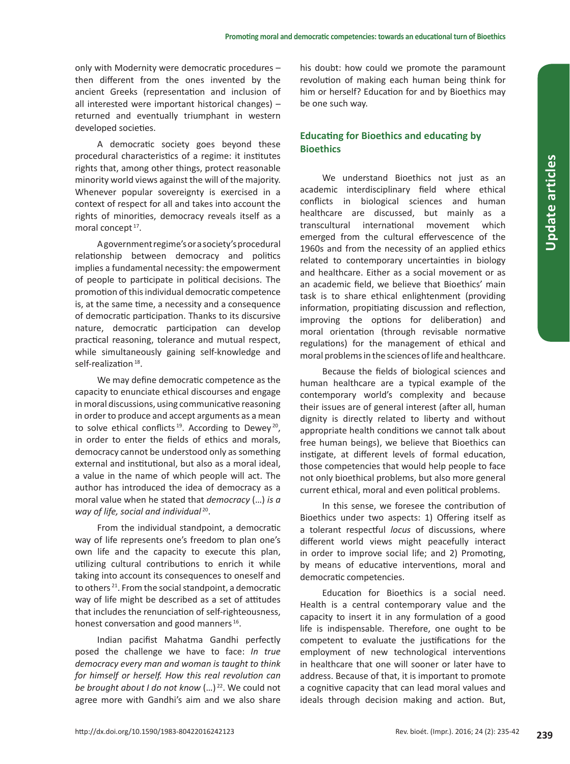only with Modernity were democratic procedures – then different from the ones invented by the ancient Greeks (representation and inclusion of all interested were important historical changes) – returned and eventually triumphant in western developed societies.

A democratic society goes beyond these procedural characteristics of a regime: it institutes rights that, among other things, protect reasonable minority world views against the will of the majority. Whenever popular sovereignty is exercised in a context of respect for all and takes into account the rights of minorities, democracy reveals itself as a moral concept<sup>17</sup>.

A government regime's or a society's procedural relationship between democracy and politics implies a fundamental necessity: the empowerment of people to participate in political decisions. The promotion of this individual democratic competence is, at the same time, a necessity and a consequence of democratic participation. Thanks to its discursive nature, democratic participation can develop practical reasoning, tolerance and mutual respect, while simultaneously gaining self-knowledge and self-realization<sup>18</sup>.

We may define democratic competence as the capacity to enunciate ethical discourses and engage in moral discussions, using communicative reasoning in order to produce and accept arguments as a mean to solve ethical conflicts<sup>19</sup>. According to Dewey<sup>20</sup>, in order to enter the fields of ethics and morals, democracy cannot be understood only as something external and institutional, but also as a moral ideal, a value in the name of which people will act. The author has introduced the idea of democracy as a moral value when he stated that *democracy* (…) *is a way of life, social and individual* 20.

From the individual standpoint, a democratic way of life represents one's freedom to plan one's own life and the capacity to execute this plan, utilizing cultural contributions to enrich it while taking into account its consequences to oneself and to others 21. From the social standpoint, a democratic way of life might be described as a set of attitudes that includes the renunciation of self-righteousness, honest conversation and good manners<sup>16</sup>.

Indian pacifist Mahatma Gandhi perfectly posed the challenge we have to face: *In true democracy every man and woman is taught to think for himself or herself. How this real revolution can be brought about I do not know* (…) <sup>22</sup>. We could not agree more with Gandhi's aim and we also share

his doubt: how could we promote the paramount revolution of making each human being think for him or herself? Education for and by Bioethics may be one such way.

## **Educating for Bioethics and educating by Bioethics**

We understand Bioethics not just as an academic interdisciplinary field where ethical conflicts in biological sciences and human healthcare are discussed, but mainly as a transcultural international movement which emerged from the cultural effervescence of the 1960s and from the necessity of an applied ethics related to contemporary uncertainties in biology and healthcare. Either as a social movement or as an academic field, we believe that Bioethics' main task is to share ethical enlightenment (providing information, propitiating discussion and reflection, improving the options for deliberation) and moral orientation (through revisable normative regulations) for the management of ethical and moral problems in the sciences of life and healthcare.

Because the fields of biological sciences and human healthcare are a typical example of the contemporary world's complexity and because their issues are of general interest (after all, human dignity is directly related to liberty and without appropriate health conditions we cannot talk about free human beings), we believe that Bioethics can instigate, at different levels of formal education, those competencies that would help people to face not only bioethical problems, but also more general current ethical, moral and even political problems.

In this sense, we foresee the contribution of Bioethics under two aspects: 1) Offering itself as a tolerant respectful *locus* of discussions, where different world views might peacefully interact in order to improve social life; and 2) Promoting, by means of educative interventions, moral and democratic competencies.

Education for Bioethics is a social need. Health is a central contemporary value and the capacity to insert it in any formulation of a good life is indispensable. Therefore, one ought to be competent to evaluate the justifications for the employment of new technological interventions in healthcare that one will sooner or later have to address. Because of that, it is important to promote a cognitive capacity that can lead moral values and ideals through decision making and action. But,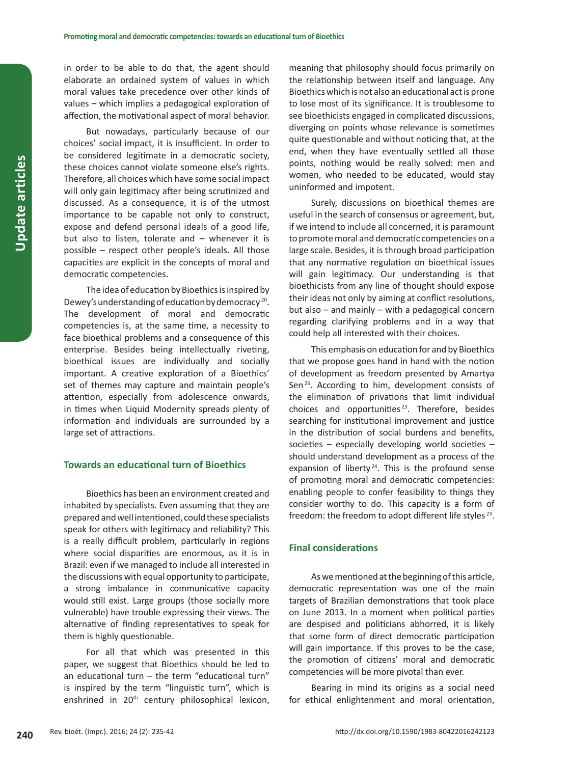in order to be able to do that, the agent should elaborate an ordained system of values in which moral values take precedence over other kinds of values – which implies a pedagogical exploration of affection, the motivational aspect of moral behavior.

But nowadays, particularly because of our choices' social impact, it is insufficient. In order to be considered legitimate in a democratic society, these choices cannot violate someone else's rights. Therefore, all choices which have some social impact will only gain legitimacy after being scrutinized and discussed. As a consequence, it is of the utmost importance to be capable not only to construct, expose and defend personal ideals of a good life, but also to listen, tolerate and – whenever it is possible – respect other people's ideals. All those capacities are explicit in the concepts of moral and democratic competencies.

The idea of education by Bioethics is inspired by Dewey's understanding of education by democracy 20. The development of moral and democratic competencies is, at the same time, a necessity to face bioethical problems and a consequence of this enterprise. Besides being intellectually riveting, bioethical issues are individually and socially important. A creative exploration of a Bioethics' set of themes may capture and maintain people's attention, especially from adolescence onwards, in times when Liquid Modernity spreads plenty of information and individuals are surrounded by a large set of attractions.

#### **Towards an educational turn of Bioethics**

Bioethics has been an environment created and inhabited by specialists. Even assuming that they are prepared and well intentioned, could these specialists speak for others with legitimacy and reliability? This is a really difficult problem, particularly in regions where social disparities are enormous, as it is in Brazil: even if we managed to include all interested in the discussions with equal opportunity to participate, a strong imbalance in communicative capacity would still exist. Large groups (those socially more vulnerable) have trouble expressing their views. The alternative of finding representatives to speak for them is highly questionable.

For all that which was presented in this paper, we suggest that Bioethics should be led to an educational turn – the term "educational turn" is inspired by the term "linguistic turn", which is enshrined in 20<sup>th</sup> century philosophical lexicon, meaning that philosophy should focus primarily on the relationship between itself and language. Any Bioethics which is not also an educational act is prone to lose most of its significance. It is troublesome to see bioethicists engaged in complicated discussions, diverging on points whose relevance is sometimes quite questionable and without noticing that, at the end, when they have eventually settled all those points, nothing would be really solved: men and women, who needed to be educated, would stay uninformed and impotent.

Surely, discussions on bioethical themes are useful in the search of consensus or agreement, but, if we intend to include all concerned, it is paramount to promote moral and democratic competencies on a large scale. Besides, it is through broad participation that any normative regulation on bioethical issues will gain legitimacy. Our understanding is that bioethicists from any line of thought should expose their ideas not only by aiming at conflict resolutions, but also – and mainly – with a pedagogical concern regarding clarifying problems and in a way that could help all interested with their choices.

This emphasis on education for and by Bioethics that we propose goes hand in hand with the notion of development as freedom presented by Amartya Sen<sup>23</sup>. According to him, development consists of the elimination of privations that limit individual choices and opportunities <sup>23</sup>. Therefore, besides searching for institutional improvement and justice in the distribution of social burdens and benefits, societies – especially developing world societies – should understand development as a process of the expansion of liberty<sup>24</sup>. This is the profound sense of promoting moral and democratic competencies: enabling people to confer feasibility to things they consider worthy to do. This capacity is a form of freedom: the freedom to adopt different life styles<sup>23</sup>.

#### **Final considerations**

As we mentioned at the beginning of this article, democratic representation was one of the main targets of Brazilian demonstrations that took place on June 2013. In a moment when political parties are despised and politicians abhorred, it is likely that some form of direct democratic participation will gain importance. If this proves to be the case, the promotion of citizens' moral and democratic competencies will be more pivotal than ever.

Bearing in mind its origins as a social need for ethical enlightenment and moral orientation,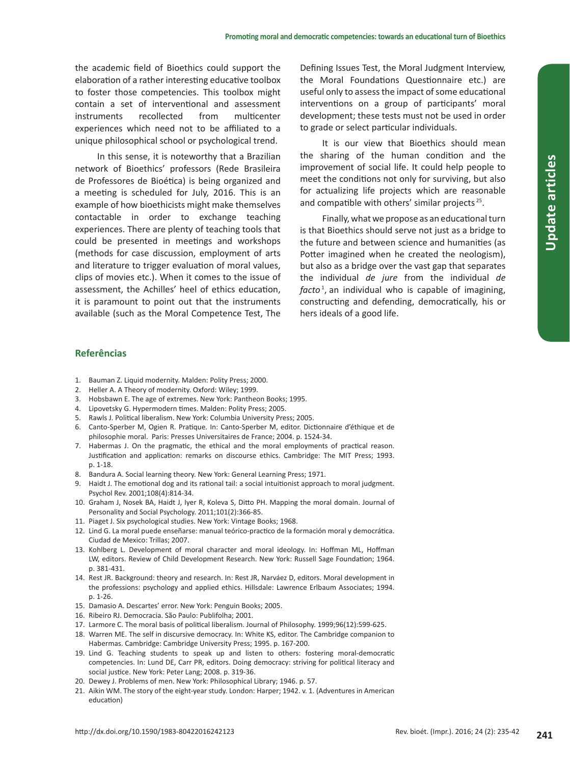the academic field of Bioethics could support the elaboration of a rather interesting educative toolbox to foster those competencies. This toolbox might contain a set of interventional and assessment instruments recollected from multicenter experiences which need not to be affiliated to a unique philosophical school or psychological trend.

In this sense, it is noteworthy that a Brazilian network of Bioethics' professors (Rede Brasileira de Professores de Bioética) is being organized and a meeting is scheduled for July, 2016. This is an example of how bioethicists might make themselves contactable in order to exchange teaching experiences. There are plenty of teaching tools that could be presented in meetings and workshops (methods for case discussion, employment of arts and literature to trigger evaluation of moral values, clips of movies etc.). When it comes to the issue of assessment, the Achilles' heel of ethics education, it is paramount to point out that the instruments available (such as the Moral Competence Test, The Defining Issues Test, the Moral Judgment Interview, the Moral Foundations Questionnaire etc.) are useful only to assess the impact of some educational interventions on a group of participants' moral development; these tests must not be used in order to grade or select particular individuals.

It is our view that Bioethics should mean the sharing of the human condition and the improvement of social life. It could help people to meet the conditions not only for surviving, but also for actualizing life projects which are reasonable and compatible with others' similar projects <sup>25</sup>.

Finally, what we propose as an educational turn is that Bioethics should serve not just as a bridge to the future and between science and humanities (as Potter imagined when he created the neologism), but also as a bridge over the vast gap that separates the individual *de jure* from the individual *de facto* <sup>1</sup> , an individual who is capable of imagining, constructing and defending, democratically, his or hers ideals of a good life.

### **Referências**

- 1. Bauman Z. Liquid modernity. Malden: Polity Press; 2000.
- 2. Heller A. A Theory of modernity. Oxford: Wiley; 1999.
- 3. Hobsbawn E. The age of extremes. New York: Pantheon Books; 1995.
- 4. Lipovetsky G. Hypermodern times. Malden: Polity Press; 2005.
- 5. Rawls J. Political liberalism. New York: Columbia University Press; 2005.
- 6. Canto-Sperber M, Ogien R. Pratique. In: Canto-Sperber M, editor. Dictionnaire d'éthique et de philosophie moral. Paris: Presses Universitaires de France; 2004. p. 1524-34.
- 7. Habermas J. On the pragmatic, the ethical and the moral employments of practical reason. Justification and application: remarks on discourse ethics. Cambridge: The MIT Press; 1993. p. 1-18.
- 8. Bandura A. Social learning theory. New York: General Learning Press; 1971.
- 9. Haidt J. The emotional dog and its rational tail: a social intuitionist approach to moral judgment. Psychol Rev. 2001;108(4):814-34.
- 10. Graham J, Nosek BA, Haidt J, Iyer R, Koleva S, Ditto PH. Mapping the moral domain. Journal of Personality and Social Psychology. 2011;101(2):366-85.
- 11. Piaget J. Six psychological studies. New York: Vintage Books; 1968.
- 12. Lind G. La moral puede enseñarse: manual teórico-practico de la formación moral y democrática. Ciudad de Mexico: Trillas; 2007.
- 13. Kohlberg L. Development of moral character and moral ideology. In: Hoffman ML, Hoffman LW, editors. Review of Child Development Research. New York: Russell Sage Foundation; 1964. p. 381-431.
- 14. Rest JR. Background: theory and research. In: Rest JR, Narváez D, editors. Moral development in the professions: psychology and applied ethics. Hillsdale: Lawrence Erlbaum Associates; 1994. p. 1-26.
- 15. Damasio A. Descartes' error. New York: Penguin Books; 2005.
- 16. Ribeiro RJ. Democracia. São Paulo: Publifolha; 2001.
- 17. Larmore C. The moral basis of political liberalism. Journal of Philosophy. 1999;96(12):599-625.
- 18. Warren ME. The self in discursive democracy. In: White KS, editor. The Cambridge companion to Habermas. Cambridge: Cambridge University Press; 1995. p. 167-200.
- 19. Lind G. Teaching students to speak up and listen to others: fostering moral-democratic competencies. In: Lund DE, Carr PR, editors. Doing democracy: striving for political literacy and social justice. New York: Peter Lang; 2008. p. 319-36.
- 20. Dewey J. Problems of men. New York: Philosophical Library; 1946. p. 57.
- 21. Aikin WM. The story of the eight-year study. London: Harper; 1942. v. 1. (Adventures in American education)